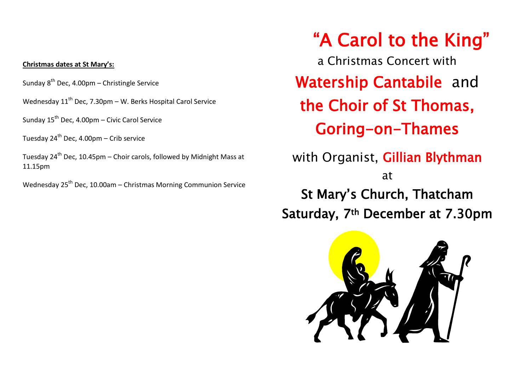# **Christmas dates at St Mary's:**

Sunday 8<sup>th</sup> Dec, 4.00pm – Christingle Service

Wednesday  $11^{th}$  Dec, 7.30pm – W. Berks Hospital Carol Service

Sunday  $15^{th}$  Dec, 4.00pm – Civic Carol Service

Tuesday  $24^{th}$  Dec, 4.00pm – Crib service

Tuesday  $24^{th}$  Dec, 10.45pm – Choir carols, followed by Midnight Mass at 11.15pm

Wednesday  $25<sup>th</sup>$  Dec, 10.00am – Christmas Morning Communion Service

"A Carol to the King" a Christmas Concert with Watership Cantabile and the Choir of St Thomas, Goring-on-Thames with Organist, Gillian Blythman at St Mary's Church, Thatcham Saturday, 7th December at 7.30pm